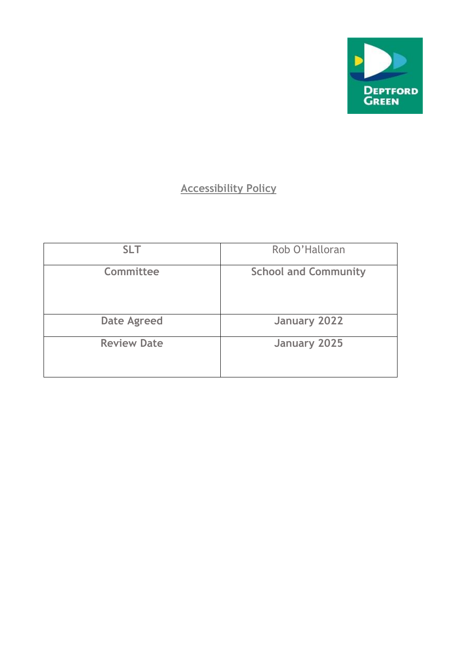

# **Accessibility Policy**

| <b>SLT</b>         | Rob O'Halloran              |
|--------------------|-----------------------------|
| Committee          | <b>School and Community</b> |
| <b>Date Agreed</b> | January 2022                |
| <b>Review Date</b> | <b>January 2025</b>         |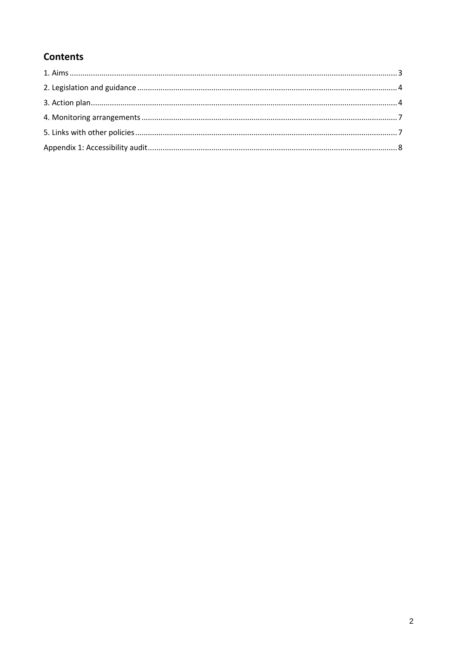## **Contents**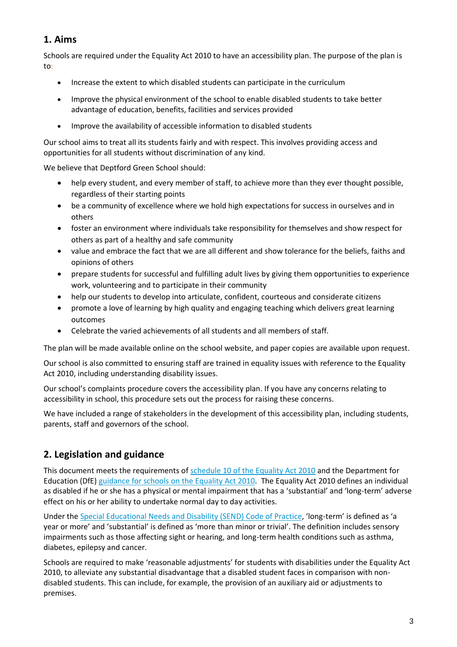### **1. Aims**

Schools are required under the Equality Act 2010 to have an accessibility plan. The purpose of the plan is to:

- Increase the extent to which disabled students can participate in the curriculum
- Improve the physical environment of the school to enable disabled students to take better advantage of education, benefits, facilities and services provided
- Improve the availability of accessible information to disabled students

Our school aims to treat all its students fairly and with respect. This involves providing access and opportunities for all students without discrimination of any kind.

We believe that Deptford Green School should:

- help every student, and every member of staff, to achieve more than they ever thought possible, regardless of their starting points
- be a community of excellence where we hold high expectations for success in ourselves and in others
- foster an environment where individuals take responsibility for themselves and show respect for others as part of a healthy and safe community
- value and embrace the fact that we are all different and show tolerance for the beliefs, faiths and opinions of others
- prepare students for successful and fulfilling adult lives by giving them opportunities to experience work, volunteering and to participate in their community
- help our students to develop into articulate, confident, courteous and considerate citizens
- promote a love of learning by high quality and engaging teaching which delivers great learning outcomes
- Celebrate the varied achievements of all students and all members of staff.

The plan will be made available online on the school website, and paper copies are available upon request.

Our school is also committed to ensuring staff are trained in equality issues with reference to the Equality Act 2010, including understanding disability issues.

Our school's complaints procedure covers the accessibility plan. If you have any concerns relating to accessibility in school, this procedure sets out the process for raising these concerns.

We have included a range of stakeholders in the development of this accessibility plan, including students, parents, staff and governors of the school.

### **2. Legislation and guidance**

This document meets the requirements of [schedule 10 of the Equality Act 2010](http://www.legislation.gov.uk/ukpga/2010/15/schedule/10) and the Department for Education (DfE[\) guidance for schools on the Equality Act 2010.](https://www.gov.uk/government/publications/equality-act-2010-advice-for-schools) The Equality Act 2010 defines an individual as disabled if he or she has a physical or mental impairment that has a 'substantial' and 'long-term' adverse effect on his or her ability to undertake normal day to day activities.

Under th[e Special Educational Needs and Disability \(SEND\) Code of Practice](https://www.gov.uk/government/publications/send-code-of-practice-0-to-25), 'long-term' is defined as 'a year or more' and 'substantial' is defined as 'more than minor or trivial'. The definition includes sensory impairments such as those affecting sight or hearing, and long-term health conditions such as asthma, diabetes, epilepsy and cancer.

Schools are required to make 'reasonable adjustments' for students with disabilities under the Equality Act 2010, to alleviate any substantial disadvantage that a disabled student faces in comparison with nondisabled students. This can include, for example, the provision of an auxiliary aid or adjustments to premises.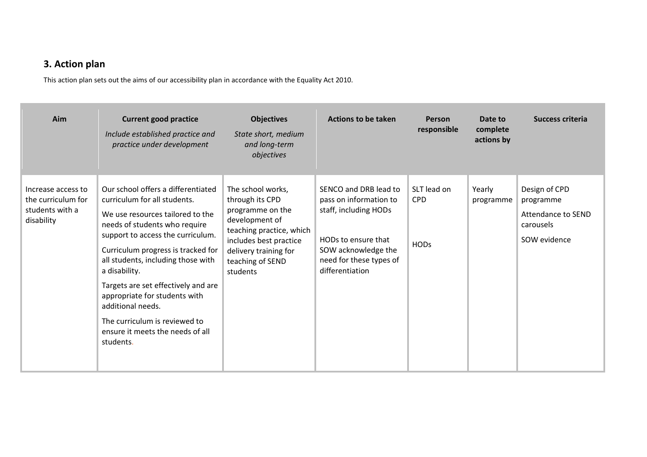### **3. Action plan**

This action plan sets out the aims of our accessibility plan in accordance with the Equality Act 2010.

| Aim                                                                       | <b>Current good practice</b><br>Include established practice and<br>practice under development                                                                                                                                                                                                                                                                                                                                                           | <b>Objectives</b><br>State short, medium<br>and long-term<br>objectives                                                                                                                   | <b>Actions to be taken</b>                                                                                                                                           | <b>Person</b><br>responsible             | Date to<br>complete<br>actions by | Success criteria                                                              |
|---------------------------------------------------------------------------|----------------------------------------------------------------------------------------------------------------------------------------------------------------------------------------------------------------------------------------------------------------------------------------------------------------------------------------------------------------------------------------------------------------------------------------------------------|-------------------------------------------------------------------------------------------------------------------------------------------------------------------------------------------|----------------------------------------------------------------------------------------------------------------------------------------------------------------------|------------------------------------------|-----------------------------------|-------------------------------------------------------------------------------|
| Increase access to<br>the curriculum for<br>students with a<br>disability | Our school offers a differentiated<br>curriculum for all students.<br>We use resources tailored to the<br>needs of students who require<br>support to access the curriculum.<br>Curriculum progress is tracked for<br>all students, including those with<br>a disability.<br>Targets are set effectively and are<br>appropriate for students with<br>additional needs.<br>The curriculum is reviewed to<br>ensure it meets the needs of all<br>students. | The school works,<br>through its CPD<br>programme on the<br>development of<br>teaching practice, which<br>includes best practice<br>delivery training for<br>teaching of SEND<br>students | SENCO and DRB lead to<br>pass on information to<br>staff, including HODs<br>HODs to ensure that<br>SOW acknowledge the<br>need for these types of<br>differentiation | SLT lead on<br><b>CPD</b><br><b>HODs</b> | Yearly<br>programme               | Design of CPD<br>programme<br>Attendance to SEND<br>carousels<br>SOW evidence |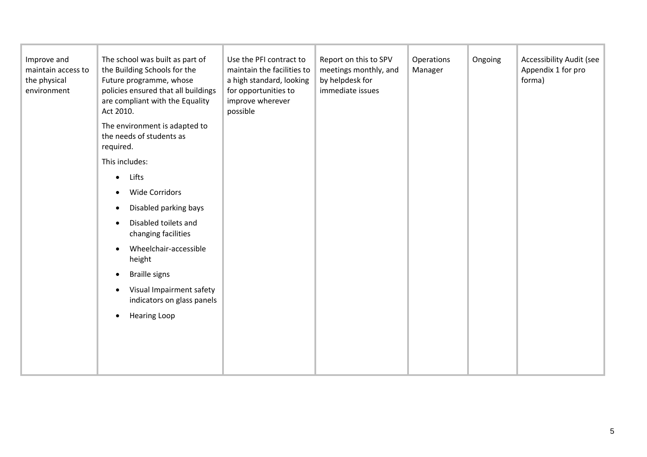| Improve and<br>maintain access to<br>the physical<br>environment | The school was built as part of<br>the Building Schools for the<br>Future programme, whose<br>policies ensured that all buildings<br>are compliant with the Equality<br>Act 2010.<br>The environment is adapted to<br>the needs of students as<br>required.<br>This includes:<br>Lifts<br>$\bullet$<br><b>Wide Corridors</b><br>Disabled parking bays<br>$\bullet$<br>Disabled toilets and<br>$\bullet$<br>changing facilities<br>Wheelchair-accessible<br>height<br><b>Braille signs</b><br>Visual Impairment safety<br>indicators on glass panels<br><b>Hearing Loop</b><br>$\bullet$ | Use the PFI contract to<br>maintain the facilities to<br>a high standard, looking<br>for opportunities to<br>improve wherever<br>possible | Report on this to SPV<br>meetings monthly, and<br>by helpdesk for<br>immediate issues | Operations<br>Manager | Ongoing | <b>Accessibility Audit (see</b><br>Appendix 1 for pro<br>forma) |
|------------------------------------------------------------------|-----------------------------------------------------------------------------------------------------------------------------------------------------------------------------------------------------------------------------------------------------------------------------------------------------------------------------------------------------------------------------------------------------------------------------------------------------------------------------------------------------------------------------------------------------------------------------------------|-------------------------------------------------------------------------------------------------------------------------------------------|---------------------------------------------------------------------------------------|-----------------------|---------|-----------------------------------------------------------------|
|                                                                  |                                                                                                                                                                                                                                                                                                                                                                                                                                                                                                                                                                                         |                                                                                                                                           |                                                                                       |                       |         |                                                                 |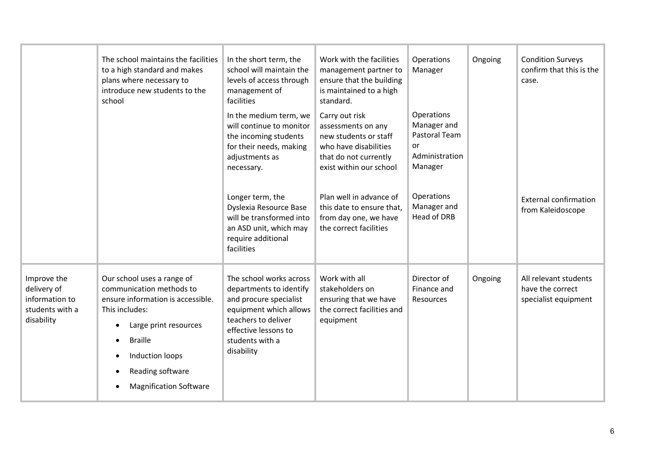|                                                                               | The school maintains the facilities<br>to a high standard and makes<br>plans where necessary to<br>introduce new students to the<br>school                                                                                                                                           | In the short term, the<br>school will maintain the<br>levels of access through<br>management of<br>facilities                                                                          | Work with the facilities<br>management partner to<br>ensure that the building<br>is maintained to a high<br>standard.                      | Operations<br>Manager                                                         | Ongoing | <b>Condition Surveys</b><br>confirm that this is the<br>case.     |
|-------------------------------------------------------------------------------|--------------------------------------------------------------------------------------------------------------------------------------------------------------------------------------------------------------------------------------------------------------------------------------|----------------------------------------------------------------------------------------------------------------------------------------------------------------------------------------|--------------------------------------------------------------------------------------------------------------------------------------------|-------------------------------------------------------------------------------|---------|-------------------------------------------------------------------|
|                                                                               |                                                                                                                                                                                                                                                                                      | In the medium term, we<br>will continue to monitor<br>the incoming students<br>for their needs, making<br>adjustments as<br>necessary.                                                 | Carry out risk<br>assessments on any<br>new students or staff<br>who have disabilities<br>that do not currently<br>exist within our school | Operations<br>Manager and<br>Pastoral Team<br>or<br>Administration<br>Manager |         |                                                                   |
|                                                                               |                                                                                                                                                                                                                                                                                      | Longer term, the<br>Dyslexia Resource Base<br>will be transformed into<br>an ASD unit, which may<br>require additional<br>facilities                                                   | Plan well in advance of<br>this date to ensure that,<br>from day one, we have<br>the correct facilities                                    | Operations<br>Manager and<br><b>Head of DRB</b>                               |         | <b>External confirmation</b><br>from Kaleidoscope                 |
| Improve the<br>delivery of<br>information to<br>students with a<br>disability | Our school uses a range of<br>communication methods to<br>ensure information is accessible.<br>This includes:<br>Large print resources<br>$\bullet$<br><b>Braille</b><br>$\bullet$<br>Induction loops<br>$\bullet$<br>Reading software<br>$\bullet$<br><b>Magnification Software</b> | The school works across<br>departments to identify<br>and procure specialist<br>equipment which allows<br>teachers to deliver<br>effective lessons to<br>students with a<br>disability | Work with all<br>stakeholders on<br>ensuring that we have<br>the correct facilities and<br>equipment                                       | Director of<br>Finance and<br>Resources                                       | Ongoing | All relevant students<br>have the correct<br>specialist equipment |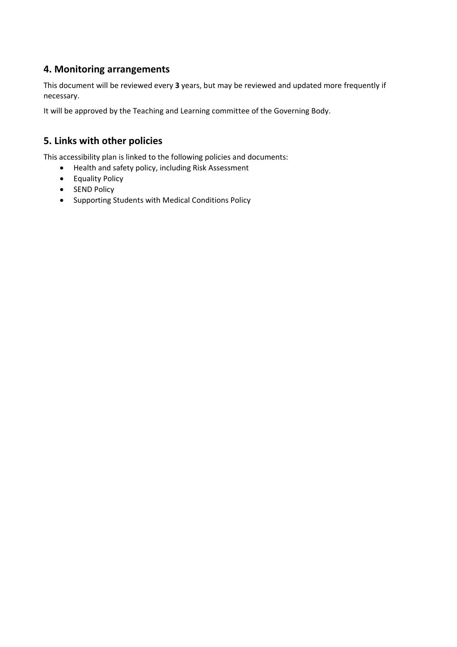#### **4. Monitoring arrangements**

This document will be reviewed every **3** years, but may be reviewed and updated more frequently if necessary.

It will be approved by the Teaching and Learning committee of the Governing Body.

#### **5. Links with other policies**

This accessibility plan is linked to the following policies and documents:

- Health and safety policy, including Risk Assessment
- Equality Policy
- SEND Policy
- Supporting Students with Medical Conditions Policy